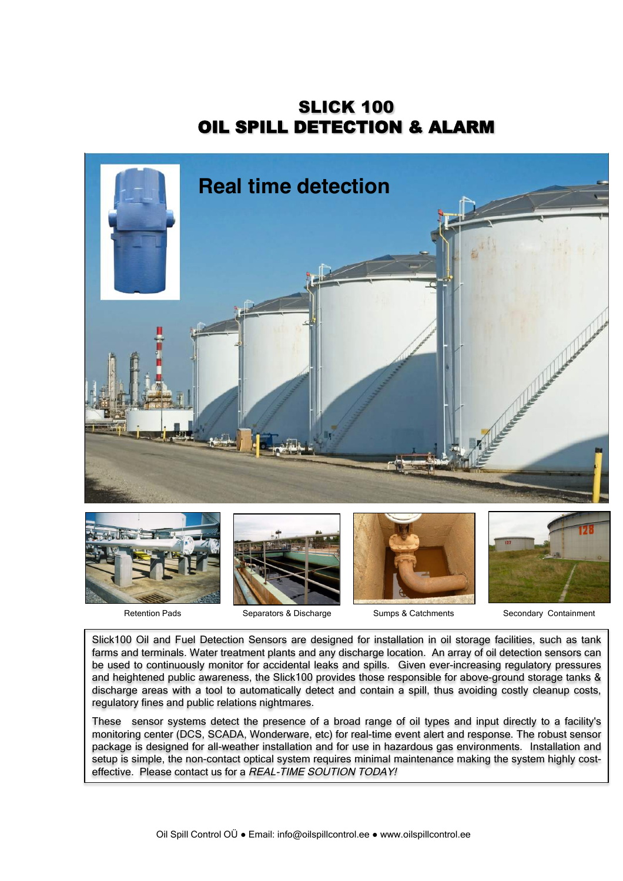SLICK 100 OIL SPILL DETECTION & ALARM











Retention Pads **Separators & Discharge** Sumps & Catchments Secondary Containment

Slick100 Oil and Fuel Detection Sensors are designed for installation in oil storage facilities, such as tank farms and terminals. Water treatment plants and any discharge location. An array of oil detection sensors can be used to continuously monitor for accidental leaks and spills. Given ever-increasing regulatory pressures and heightened public awareness, the Slick100 provides those responsible for above-ground storage tanks & discharge areas with a tool to automatically detect and contain a spill, thus avoiding costly cleanup costs, regulatory fines and public relations nightmares.

These sensor systems detect the presence of a broad range of oil types and input directly to a facility's monitoring center (DCS, SCADA, Wonderware, etc) for real-time event alert and response. The robust sensor package is designed for all-weather installation and for use in hazardous gas environments. Installation and setup is simple, the non-contact optical system requires minimal maintenance making the system highly costeffective. Please contact us for a REAL-TIME SOUTION TODAY!